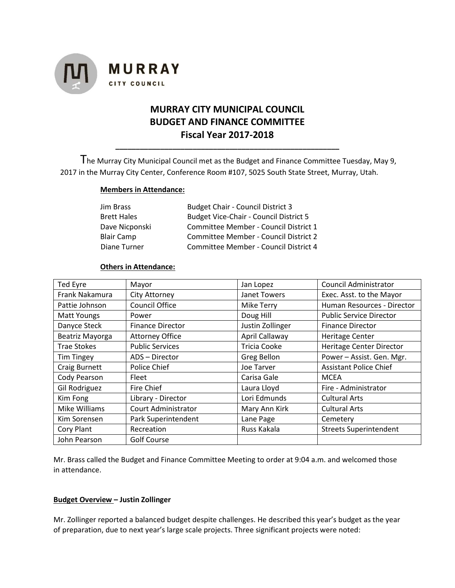

# **MURRAY CITY MUNICIPAL COUNCIL BUDGET AND FINANCE COMMITTEE Fiscal Year 2017-2018**

The Murray City Municipal Council met as the Budget and Finance Committee Tuesday, May 9, 2017 in the Murray City Center, Conference Room #107, 5025 South State Street, Murray, Utah.

**\_\_\_\_\_\_\_\_\_\_\_\_\_\_\_\_\_\_\_\_\_\_\_\_\_\_\_\_\_\_\_\_\_\_\_\_\_\_\_\_\_\_\_\_\_\_\_\_\_\_\_\_\_\_\_**

#### **Members in Attendance:**

| Jim Brass          | <b>Budget Chair - Council District 3</b>      |
|--------------------|-----------------------------------------------|
| <b>Brett Hales</b> | <b>Budget Vice-Chair - Council District 5</b> |
| Dave Nicponski     | Committee Member - Council District 1         |
| <b>Blair Camp</b>  | Committee Member - Council District 2         |
| Diane Turner       | Committee Member - Council District 4         |

### **Others in Attendance:**

| Ted Eyre             | Mayor                      | Jan Lopez           | Council Administrator          |
|----------------------|----------------------------|---------------------|--------------------------------|
| Frank Nakamura       | City Attorney              | Janet Towers        | Exec. Asst. to the Mayor       |
| Pattie Johnson       | <b>Council Office</b>      | <b>Mike Terry</b>   | Human Resources - Director     |
| Matt Youngs          | Power                      | Doug Hill           | <b>Public Service Director</b> |
| Danyce Steck         | <b>Finance Director</b>    | Justin Zollinger    | <b>Finance Director</b>        |
| Beatriz Mayorga      | <b>Attorney Office</b>     | April Callaway      | Heritage Center                |
| <b>Trae Stokes</b>   | <b>Public Services</b>     | <b>Tricia Cooke</b> | Heritage Center Director       |
| <b>Tim Tingey</b>    | ADS - Director             | Greg Bellon         | Power - Assist. Gen. Mgr.      |
| <b>Craig Burnett</b> | Police Chief               | Joe Tarver          | <b>Assistant Police Chief</b>  |
| Cody Pearson         | Fleet                      | Carisa Gale         | <b>MCEA</b>                    |
| Gil Rodriguez        | <b>Fire Chief</b>          | Laura Lloyd         | Fire - Administrator           |
| Kim Fong             | Library - Director         | Lori Edmunds        | <b>Cultural Arts</b>           |
| Mike Williams        | <b>Court Administrator</b> | Mary Ann Kirk       | <b>Cultural Arts</b>           |
| Kim Sorensen         | Park Superintendent        | Lane Page           | Cemetery                       |
| Cory Plant           | Recreation                 | Russ Kakala         | <b>Streets Superintendent</b>  |
| John Pearson         | <b>Golf Course</b>         |                     |                                |

Mr. Brass called the Budget and Finance Committee Meeting to order at 9:04 a.m. and welcomed those in attendance.

## **Budget Overview – Justin Zollinger**

Mr. Zollinger reported a balanced budget despite challenges. He described this year's budget as the year of preparation, due to next year's large scale projects. Three significant projects were noted: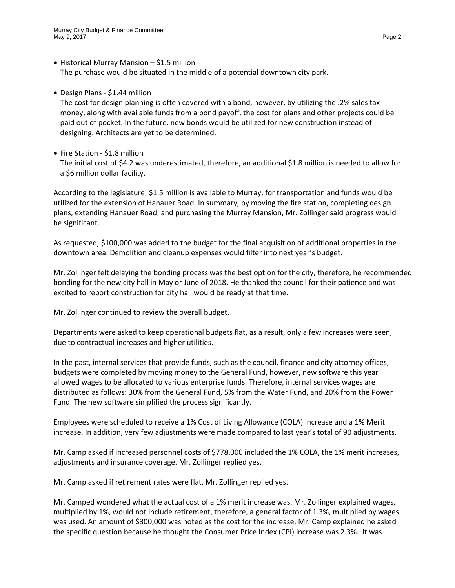## • Historical Murray Mansion – \$1.5 million The purchase would be situated in the middle of a potential downtown city park.

• Design Plans - \$1.44 million

The cost for design planning is often covered with a bond, however, by utilizing the .2% sales tax money, along with available funds from a bond payoff, the cost for plans and other projects could be paid out of pocket. In the future, new bonds would be utilized for new construction instead of designing. Architects are yet to be determined.

• Fire Station - \$1.8 million

The initial cost of \$4.2 was underestimated, therefore, an additional \$1.8 million is needed to allow for a \$6 million dollar facility.

According to the legislature, \$1.5 million is available to Murray, for transportation and funds would be utilized for the extension of Hanauer Road. In summary, by moving the fire station, completing design plans, extending Hanauer Road, and purchasing the Murray Mansion, Mr. Zollinger said progress would be significant.

As requested, \$100,000 was added to the budget for the final acquisition of additional properties in the downtown area. Demolition and cleanup expenses would filter into next year's budget.

Mr. Zollinger felt delaying the bonding process was the best option for the city, therefore, he recommended bonding for the new city hall in May or June of 2018. He thanked the council for their patience and was excited to report construction for city hall would be ready at that time.

Mr. Zollinger continued to review the overall budget.

Departments were asked to keep operational budgets flat, as a result, only a few increases were seen, due to contractual increases and higher utilities.

In the past, internal services that provide funds, such as the council, finance and city attorney offices, budgets were completed by moving money to the General Fund, however, new software this year allowed wages to be allocated to various enterprise funds. Therefore, internal services wages are distributed as follows: 30% from the General Fund, 5% from the Water Fund, and 20% from the Power Fund. The new software simplified the process significantly.

Employees were scheduled to receive a 1% Cost of Living Allowance (COLA) increase and a 1% Merit increase. In addition, very few adjustments were made compared to last year's total of 90 adjustments.

Mr. Camp asked if increased personnel costs of \$778,000 included the 1% COLA, the 1% merit increases, adjustments and insurance coverage. Mr. Zollinger replied yes.

Mr. Camp asked if retirement rates were flat. Mr. Zollinger replied yes.

Mr. Camped wondered what the actual cost of a 1% merit increase was. Mr. Zollinger explained wages, multiplied by 1%, would not include retirement, therefore, a general factor of 1.3%, multiplied by wages was used. An amount of \$300,000 was noted as the cost for the increase. Mr. Camp explained he asked the specific question because he thought the Consumer Price Index (CPI) increase was 2.3%. It was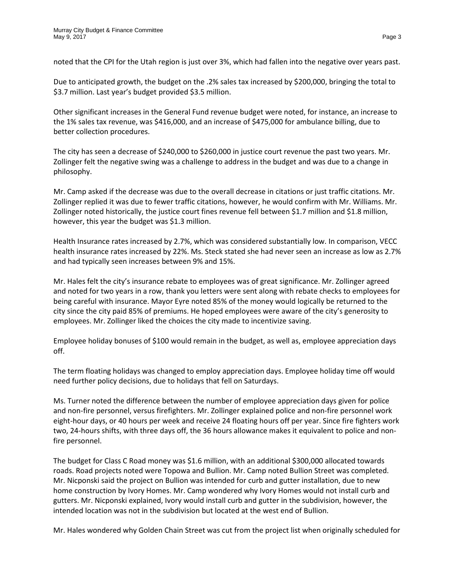noted that the CPI for the Utah region is just over 3%, which had fallen into the negative over years past.

Due to anticipated growth, the budget on the .2% sales tax increased by \$200,000, bringing the total to \$3.7 million. Last year's budget provided \$3.5 million.

Other significant increases in the General Fund revenue budget were noted, for instance, an increase to the 1% sales tax revenue, was \$416,000, and an increase of \$475,000 for ambulance billing, due to better collection procedures.

The city has seen a decrease of \$240,000 to \$260,000 in justice court revenue the past two years. Mr. Zollinger felt the negative swing was a challenge to address in the budget and was due to a change in philosophy.

Mr. Camp asked if the decrease was due to the overall decrease in citations or just traffic citations. Mr. Zollinger replied it was due to fewer traffic citations, however, he would confirm with Mr. Williams. Mr. Zollinger noted historically, the justice court fines revenue fell between \$1.7 million and \$1.8 million, however, this year the budget was \$1.3 million.

Health Insurance rates increased by 2.7%, which was considered substantially low. In comparison, VECC health insurance rates increased by 22%. Ms. Steck stated she had never seen an increase as low as 2.7% and had typically seen increases between 9% and 15%.

Mr. Hales felt the city's insurance rebate to employees was of great significance. Mr. Zollinger agreed and noted for two years in a row, thank you letters were sent along with rebate checks to employees for being careful with insurance. Mayor Eyre noted 85% of the money would logically be returned to the city since the city paid 85% of premiums. He hoped employees were aware of the city's generosity to employees. Mr. Zollinger liked the choices the city made to incentivize saving.

Employee holiday bonuses of \$100 would remain in the budget, as well as, employee appreciation days off.

The term floating holidays was changed to employ appreciation days. Employee holiday time off would need further policy decisions, due to holidays that fell on Saturdays.

Ms. Turner noted the difference between the number of employee appreciation days given for police and non-fire personnel, versus firefighters. Mr. Zollinger explained police and non-fire personnel work eight-hour days, or 40 hours per week and receive 24 floating hours off per year. Since fire fighters work two, 24-hours shifts, with three days off, the 36 hours allowance makes it equivalent to police and nonfire personnel.

The budget for Class C Road money was \$1.6 million, with an additional \$300,000 allocated towards roads. Road projects noted were Topowa and Bullion. Mr. Camp noted Bullion Street was completed. Mr. Nicponski said the project on Bullion was intended for curb and gutter installation, due to new home construction by Ivory Homes. Mr. Camp wondered why Ivory Homes would not install curb and gutters. Mr. Nicponski explained, Ivory would install curb and gutter in the subdivision, however, the intended location was not in the subdivision but located at the west end of Bullion.

Mr. Hales wondered why Golden Chain Street was cut from the project list when originally scheduled for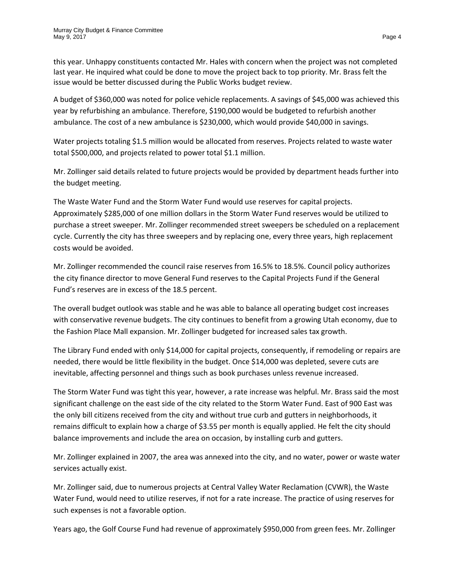this year. Unhappy constituents contacted Mr. Hales with concern when the project was not completed last year. He inquired what could be done to move the project back to top priority. Mr. Brass felt the issue would be better discussed during the Public Works budget review.

A budget of \$360,000 was noted for police vehicle replacements. A savings of \$45,000 was achieved this year by refurbishing an ambulance. Therefore, \$190,000 would be budgeted to refurbish another ambulance. The cost of a new ambulance is \$230,000, which would provide \$40,000 in savings.

Water projects totaling \$1.5 million would be allocated from reserves. Projects related to waste water total \$500,000, and projects related to power total \$1.1 million.

Mr. Zollinger said details related to future projects would be provided by department heads further into the budget meeting.

The Waste Water Fund and the Storm Water Fund would use reserves for capital projects. Approximately \$285,000 of one million dollars in the Storm Water Fund reserves would be utilized to purchase a street sweeper. Mr. Zollinger recommended street sweepers be scheduled on a replacement cycle. Currently the city has three sweepers and by replacing one, every three years, high replacement costs would be avoided.

Mr. Zollinger recommended the council raise reserves from 16.5% to 18.5%. Council policy authorizes the city finance director to move General Fund reserves to the Capital Projects Fund if the General Fund's reserves are in excess of the 18.5 percent.

The overall budget outlook was stable and he was able to balance all operating budget cost increases with conservative revenue budgets. The city continues to benefit from a growing Utah economy, due to the Fashion Place Mall expansion. Mr. Zollinger budgeted for increased sales tax growth.

The Library Fund ended with only \$14,000 for capital projects, consequently, if remodeling or repairs are needed, there would be little flexibility in the budget. Once \$14,000 was depleted, severe cuts are inevitable, affecting personnel and things such as book purchases unless revenue increased.

The Storm Water Fund was tight this year, however, a rate increase was helpful. Mr. Brass said the most significant challenge on the east side of the city related to the Storm Water Fund. East of 900 East was the only bill citizens received from the city and without true curb and gutters in neighborhoods, it remains difficult to explain how a charge of \$3.55 per month is equally applied. He felt the city should balance improvements and include the area on occasion, by installing curb and gutters.

Mr. Zollinger explained in 2007, the area was annexed into the city, and no water, power or waste water services actually exist.

Mr. Zollinger said, due to numerous projects at Central Valley Water Reclamation (CVWR), the Waste Water Fund, would need to utilize reserves, if not for a rate increase. The practice of using reserves for such expenses is not a favorable option.

Years ago, the Golf Course Fund had revenue of approximately \$950,000 from green fees. Mr. Zollinger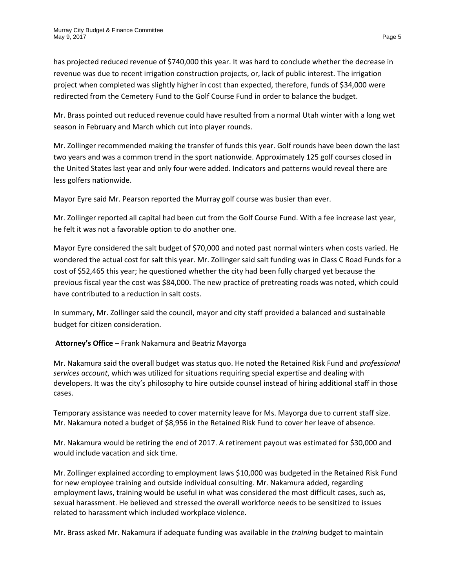has projected reduced revenue of \$740,000 this year. It was hard to conclude whether the decrease in revenue was due to recent irrigation construction projects, or, lack of public interest. The irrigation project when completed was slightly higher in cost than expected, therefore, funds of \$34,000 were redirected from the Cemetery Fund to the Golf Course Fund in order to balance the budget.

Mr. Brass pointed out reduced revenue could have resulted from a normal Utah winter with a long wet season in February and March which cut into player rounds.

Mr. Zollinger recommended making the transfer of funds this year. Golf rounds have been down the last two years and was a common trend in the sport nationwide. Approximately 125 golf courses closed in the United States last year and only four were added. Indicators and patterns would reveal there are less golfers nationwide.

Mayor Eyre said Mr. Pearson reported the Murray golf course was busier than ever.

Mr. Zollinger reported all capital had been cut from the Golf Course Fund. With a fee increase last year, he felt it was not a favorable option to do another one.

Mayor Eyre considered the salt budget of \$70,000 and noted past normal winters when costs varied. He wondered the actual cost for salt this year. Mr. Zollinger said salt funding was in Class C Road Funds for a cost of \$52,465 this year; he questioned whether the city had been fully charged yet because the previous fiscal year the cost was \$84,000. The new practice of pretreating roads was noted, which could have contributed to a reduction in salt costs.

In summary, Mr. Zollinger said the council, mayor and city staff provided a balanced and sustainable budget for citizen consideration.

**Attorney's Office** – Frank Nakamura and Beatriz Mayorga

Mr. Nakamura said the overall budget was status quo. He noted the Retained Risk Fund and *professional services account*, which was utilized for situations requiring special expertise and dealing with developers. It was the city's philosophy to hire outside counsel instead of hiring additional staff in those cases.

Temporary assistance was needed to cover maternity leave for Ms. Mayorga due to current staff size. Mr. Nakamura noted a budget of \$8,956 in the Retained Risk Fund to cover her leave of absence.

Mr. Nakamura would be retiring the end of 2017. A retirement payout was estimated for \$30,000 and would include vacation and sick time.

Mr. Zollinger explained according to employment laws \$10,000 was budgeted in the Retained Risk Fund for new employee training and outside individual consulting. Mr. Nakamura added, regarding employment laws, training would be useful in what was considered the most difficult cases, such as, sexual harassment. He believed and stressed the overall workforce needs to be sensitized to issues related to harassment which included workplace violence.

Mr. Brass asked Mr. Nakamura if adequate funding was available in the *training* budget to maintain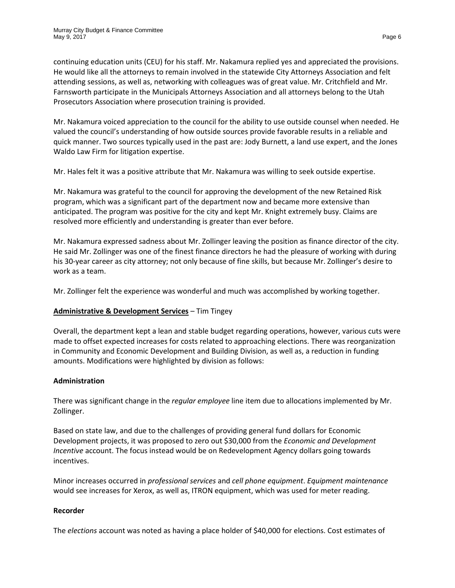continuing education units (CEU) for his staff. Mr. Nakamura replied yes and appreciated the provisions. He would like all the attorneys to remain involved in the statewide City Attorneys Association and felt attending sessions, as well as, networking with colleagues was of great value. Mr. Critchfield and Mr. Farnsworth participate in the Municipals Attorneys Association and all attorneys belong to the Utah Prosecutors Association where prosecution training is provided.

Mr. Nakamura voiced appreciation to the council for the ability to use outside counsel when needed. He valued the council's understanding of how outside sources provide favorable results in a reliable and quick manner. Two sources typically used in the past are: Jody Burnett, a land use expert, and the Jones Waldo Law Firm for litigation expertise.

Mr. Hales felt it was a positive attribute that Mr. Nakamura was willing to seek outside expertise.

Mr. Nakamura was grateful to the council for approving the development of the new Retained Risk program, which was a significant part of the department now and became more extensive than anticipated. The program was positive for the city and kept Mr. Knight extremely busy. Claims are resolved more efficiently and understanding is greater than ever before.

Mr. Nakamura expressed sadness about Mr. Zollinger leaving the position as finance director of the city. He said Mr. Zollinger was one of the finest finance directors he had the pleasure of working with during his 30-year career as city attorney; not only because of fine skills, but because Mr. Zollinger's desire to work as a team.

Mr. Zollinger felt the experience was wonderful and much was accomplished by working together.

# **Administrative & Development Services** – Tim Tingey

Overall, the department kept a lean and stable budget regarding operations, however, various cuts were made to offset expected increases for costs related to approaching elections. There was reorganization in Community and Economic Development and Building Division, as well as, a reduction in funding amounts. Modifications were highlighted by division as follows:

### **Administration**

There was significant change in the *regular employee* line item due to allocations implemented by Mr. Zollinger.

Based on state law, and due to the challenges of providing general fund dollars for Economic Development projects, it was proposed to zero out \$30,000 from the *Economic and Development Incentive* account. The focus instead would be on Redevelopment Agency dollars going towards incentives.

Minor increases occurred in *professional services* and *cell phone equipment*. *Equipment maintenance* would see increases for Xerox, as well as, ITRON equipment, which was used for meter reading.

### **Recorder**

The *elections* account was noted as having a place holder of \$40,000 for elections. Cost estimates of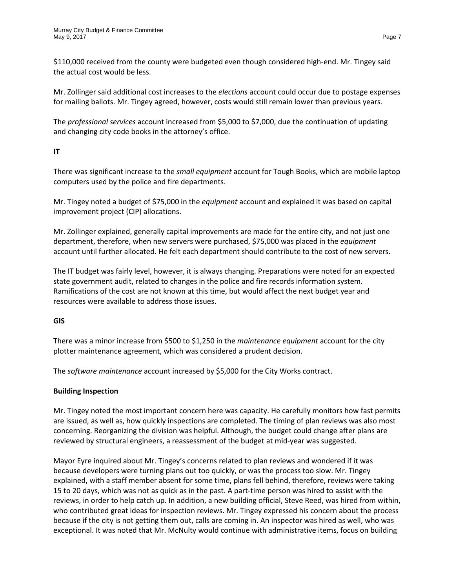\$110,000 received from the county were budgeted even though considered high-end. Mr. Tingey said the actual cost would be less.

Mr. Zollinger said additional cost increases to the *elections* account could occur due to postage expenses for mailing ballots. Mr. Tingey agreed, however, costs would still remain lower than previous years.

The *professional services* account increased from \$5,000 to \$7,000, due the continuation of updating and changing city code books in the attorney's office.

# **IT**

There was significant increase to the *small equipment* account for Tough Books, which are mobile laptop computers used by the police and fire departments.

Mr. Tingey noted a budget of \$75,000 in the *equipment* account and explained it was based on capital improvement project (CIP) allocations.

Mr. Zollinger explained, generally capital improvements are made for the entire city, and not just one department, therefore, when new servers were purchased, \$75,000 was placed in the *equipment* account until further allocated. He felt each department should contribute to the cost of new servers.

The IT budget was fairly level, however, it is always changing. Preparations were noted for an expected state government audit, related to changes in the police and fire records information system. Ramifications of the cost are not known at this time, but would affect the next budget year and resources were available to address those issues.

# **GIS**

There was a minor increase from \$500 to \$1,250 in the *maintenance equipment* account for the city plotter maintenance agreement, which was considered a prudent decision.

The *software maintenance* account increased by \$5,000 for the City Works contract.

# **Building Inspection**

Mr. Tingey noted the most important concern here was capacity. He carefully monitors how fast permits are issued, as well as, how quickly inspections are completed. The timing of plan reviews was also most concerning. Reorganizing the division was helpful. Although, the budget could change after plans are reviewed by structural engineers, a reassessment of the budget at mid-year was suggested.

Mayor Eyre inquired about Mr. Tingey's concerns related to plan reviews and wondered if it was because developers were turning plans out too quickly, or was the process too slow. Mr. Tingey explained, with a staff member absent for some time, plans fell behind, therefore, reviews were taking 15 to 20 days, which was not as quick as in the past. A part-time person was hired to assist with the reviews, in order to help catch up. In addition, a new building official, Steve Reed, was hired from within, who contributed great ideas for inspection reviews. Mr. Tingey expressed his concern about the process because if the city is not getting them out, calls are coming in. An inspector was hired as well, who was exceptional. It was noted that Mr. McNulty would continue with administrative items, focus on building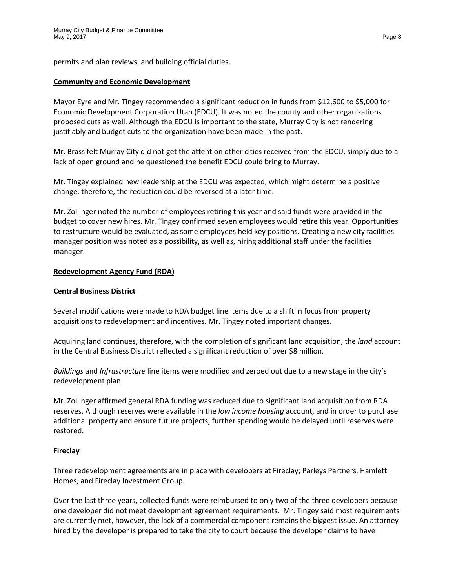permits and plan reviews, and building official duties.

#### **Community and Economic Development**

Mayor Eyre and Mr. Tingey recommended a significant reduction in funds from \$12,600 to \$5,000 for Economic Development Corporation Utah (EDCU). It was noted the county and other organizations proposed cuts as well. Although the EDCU is important to the state, Murray City is not rendering justifiably and budget cuts to the organization have been made in the past.

Mr. Brass felt Murray City did not get the attention other cities received from the EDCU, simply due to a lack of open ground and he questioned the benefit EDCU could bring to Murray.

Mr. Tingey explained new leadership at the EDCU was expected, which might determine a positive change, therefore, the reduction could be reversed at a later time.

Mr. Zollinger noted the number of employees retiring this year and said funds were provided in the budget to cover new hires. Mr. Tingey confirmed seven employees would retire this year. Opportunities to restructure would be evaluated, as some employees held key positions. Creating a new city facilities manager position was noted as a possibility, as well as, hiring additional staff under the facilities manager.

### **Redevelopment Agency Fund (RDA)**

#### **Central Business District**

Several modifications were made to RDA budget line items due to a shift in focus from property acquisitions to redevelopment and incentives. Mr. Tingey noted important changes.

Acquiring land continues, therefore, with the completion of significant land acquisition, the *land* account in the Central Business District reflected a significant reduction of over \$8 million.

*Buildings* and *Infrastructure* line items were modified and zeroed out due to a new stage in the city's redevelopment plan.

Mr. Zollinger affirmed general RDA funding was reduced due to significant land acquisition from RDA reserves. Although reserves were available in the *low income housing* account, and in order to purchase additional property and ensure future projects, further spending would be delayed until reserves were restored.

### **Fireclay**

Three redevelopment agreements are in place with developers at Fireclay; Parleys Partners, Hamlett Homes, and Fireclay Investment Group.

Over the last three years, collected funds were reimbursed to only two of the three developers because one developer did not meet development agreement requirements. Mr. Tingey said most requirements are currently met, however, the lack of a commercial component remains the biggest issue. An attorney hired by the developer is prepared to take the city to court because the developer claims to have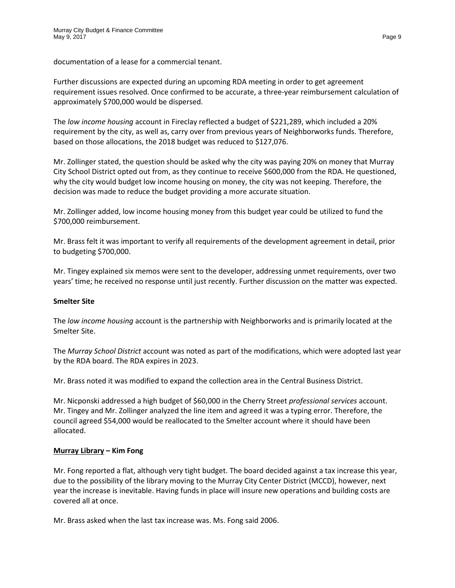documentation of a lease for a commercial tenant.

Further discussions are expected during an upcoming RDA meeting in order to get agreement requirement issues resolved. Once confirmed to be accurate, a three-year reimbursement calculation of approximately \$700,000 would be dispersed.

The *low income housing* account in Fireclay reflected a budget of \$221,289, which included a 20% requirement by the city, as well as, carry over from previous years of Neighborworks funds. Therefore, based on those allocations, the 2018 budget was reduced to \$127,076.

Mr. Zollinger stated, the question should be asked why the city was paying 20% on money that Murray City School District opted out from, as they continue to receive \$600,000 from the RDA. He questioned, why the city would budget low income housing on money, the city was not keeping. Therefore, the decision was made to reduce the budget providing a more accurate situation.

Mr. Zollinger added, low income housing money from this budget year could be utilized to fund the \$700,000 reimbursement.

Mr. Brass felt it was important to verify all requirements of the development agreement in detail, prior to budgeting \$700,000.

Mr. Tingey explained six memos were sent to the developer, addressing unmet requirements, over two years' time; he received no response until just recently. Further discussion on the matter was expected.

### **Smelter Site**

The *low income housing* account is the partnership with Neighborworks and is primarily located at the Smelter Site.

The *Murray School District* account was noted as part of the modifications, which were adopted last year by the RDA board. The RDA expires in 2023.

Mr. Brass noted it was modified to expand the collection area in the Central Business District.

Mr. Nicponski addressed a high budget of \$60,000 in the Cherry Street *professional services* account. Mr. Tingey and Mr. Zollinger analyzed the line item and agreed it was a typing error. Therefore, the council agreed \$54,000 would be reallocated to the Smelter account where it should have been allocated.

# **Murray Library – Kim Fong**

Mr. Fong reported a flat, although very tight budget. The board decided against a tax increase this year, due to the possibility of the library moving to the Murray City Center District (MCCD), however, next year the increase is inevitable. Having funds in place will insure new operations and building costs are covered all at once.

Mr. Brass asked when the last tax increase was. Ms. Fong said 2006.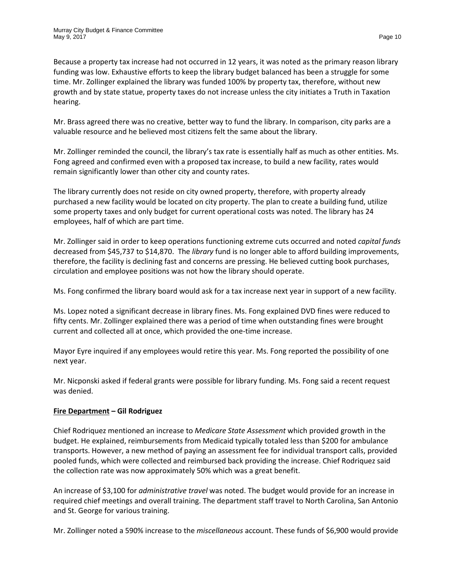Because a property tax increase had not occurred in 12 years, it was noted as the primary reason library funding was low. Exhaustive efforts to keep the library budget balanced has been a struggle for some time. Mr. Zollinger explained the library was funded 100% by property tax, therefore, without new growth and by state statue, property taxes do not increase unless the city initiates a Truth in Taxation hearing.

Mr. Brass agreed there was no creative, better way to fund the library. In comparison, city parks are a valuable resource and he believed most citizens felt the same about the library.

Mr. Zollinger reminded the council, the library's tax rate is essentially half as much as other entities. Ms. Fong agreed and confirmed even with a proposed tax increase, to build a new facility, rates would remain significantly lower than other city and county rates.

The library currently does not reside on city owned property, therefore, with property already purchased a new facility would be located on city property. The plan to create a building fund, utilize some property taxes and only budget for current operational costs was noted. The library has 24 employees, half of which are part time.

Mr. Zollinger said in order to keep operations functioning extreme cuts occurred and noted *capital funds* decreased from \$45,737 to \$14,870. The *library* fund is no longer able to afford building improvements, therefore, the facility is declining fast and concerns are pressing. He believed cutting book purchases, circulation and employee positions was not how the library should operate.

Ms. Fong confirmed the library board would ask for a tax increase next year in support of a new facility.

Ms. Lopez noted a significant decrease in library fines. Ms. Fong explained DVD fines were reduced to fifty cents. Mr. Zollinger explained there was a period of time when outstanding fines were brought current and collected all at once, which provided the one-time increase.

Mayor Eyre inquired if any employees would retire this year. Ms. Fong reported the possibility of one next year.

Mr. Nicponski asked if federal grants were possible for library funding. Ms. Fong said a recent request was denied.

### **Fire Department – Gil Rodriguez**

Chief Rodriquez mentioned an increase to *Medicare State Assessment* which provided growth in the budget. He explained, reimbursements from Medicaid typically totaled less than \$200 for ambulance transports. However, a new method of paying an assessment fee for individual transport calls, provided pooled funds, which were collected and reimbursed back providing the increase. Chief Rodriquez said the collection rate was now approximately 50% which was a great benefit.

An increase of \$3,100 for *administrative travel* was noted. The budget would provide for an increase in required chief meetings and overall training. The department staff travel to North Carolina, San Antonio and St. George for various training.

Mr. Zollinger noted a 590% increase to the *miscellaneous* account. These funds of \$6,900 would provide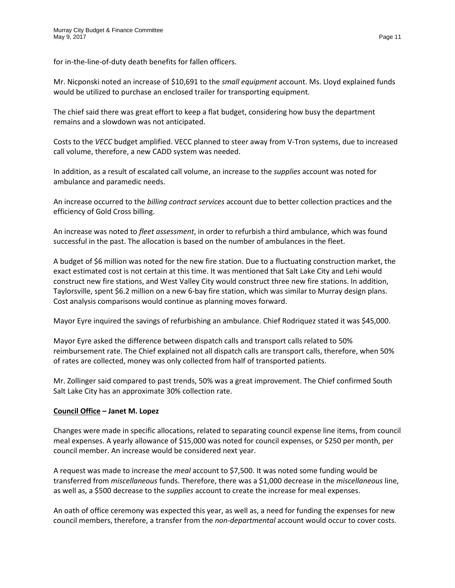for in-the-line-of-duty death benefits for fallen officers.

Mr. Nicponski noted an increase of \$10,691 to the *small equipment* account. Ms. Lloyd explained funds would be utilized to purchase an enclosed trailer for transporting equipment.

The chief said there was great effort to keep a flat budget, considering how busy the department remains and a slowdown was not anticipated.

Costs to the *VECC* budget amplified. VECC planned to steer away from V-Tron systems, due to increased call volume, therefore, a new CADD system was needed.

In addition, as a result of escalated call volume, an increase to the *supplies* account was noted for ambulance and paramedic needs.

An increase occurred to the *billing contract services* account due to better collection practices and the efficiency of Gold Cross billing.

An increase was noted to *fleet assessment*, in order to refurbish a third ambulance, which was found successful in the past. The allocation is based on the number of ambulances in the fleet.

A budget of \$6 million was noted for the new fire station. Due to a fluctuating construction market, the exact estimated cost is not certain at this time. It was mentioned that Salt Lake City and Lehi would construct new fire stations, and West Valley City would construct three new fire stations. In addition, Taylorsville, spent \$6.2 million on a new 6-bay fire station, which was similar to Murray design plans. Cost analysis comparisons would continue as planning moves forward.

Mayor Eyre inquired the savings of refurbishing an ambulance. Chief Rodriquez stated it was \$45,000.

Mayor Eyre asked the difference between dispatch calls and transport calls related to 50% reimbursement rate. The Chief explained not all dispatch calls are transport calls, therefore, when 50% of rates are collected, money was only collected from half of transported patients.

Mr. Zollinger said compared to past trends, 50% was a great improvement. The Chief confirmed South Salt Lake City has an approximate 30% collection rate.

### **Council Office – Janet M. Lopez**

Changes were made in specific allocations, related to separating council expense line items, from council meal expenses. A yearly allowance of \$15,000 was noted for council expenses, or \$250 per month, per council member. An increase would be considered next year.

A request was made to increase the *meal* account to \$7,500. It was noted some funding would be transferred from *miscellaneous* funds. Therefore, there was a \$1,000 decrease in the *miscellaneous* line, as well as, a \$500 decrease to the *supplies* account to create the increase for meal expenses.

An oath of office ceremony was expected this year, as well as, a need for funding the expenses for new council members, therefore, a transfer from the *non-departmental* account would occur to cover costs.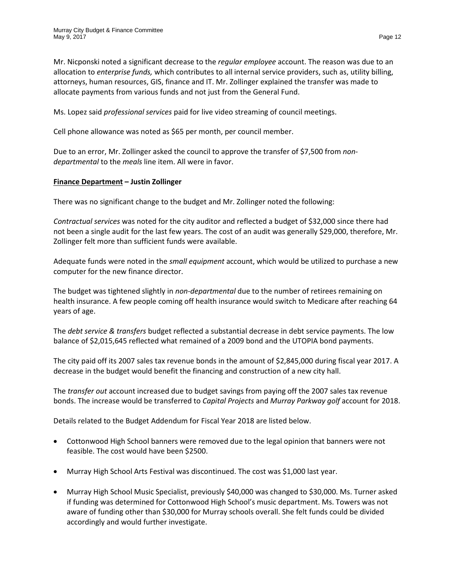Mr. Nicponski noted a significant decrease to the *regular employee* account. The reason was due to an allocation to *enterprise funds,* which contributes to all internal service providers, such as, utility billing, attorneys, human resources, GIS, finance and IT. Mr. Zollinger explained the transfer was made to allocate payments from various funds and not just from the General Fund.

Ms. Lopez said *professional services* paid for live video streaming of council meetings.

Cell phone allowance was noted as \$65 per month, per council member.

Due to an error, Mr. Zollinger asked the council to approve the transfer of \$7,500 from *nondepartmental* to the *meals* line item. All were in favor.

## **Finance Department – Justin Zollinger**

There was no significant change to the budget and Mr. Zollinger noted the following:

*Contractual services* was noted for the city auditor and reflected a budget of \$32,000 since there had not been a single audit for the last few years. The cost of an audit was generally \$29,000, therefore, Mr. Zollinger felt more than sufficient funds were available.

Adequate funds were noted in the *small equipment* account, which would be utilized to purchase a new computer for the new finance director.

The budget was tightened slightly in *non-departmental* due to the number of retirees remaining on health insurance. A few people coming off health insurance would switch to Medicare after reaching 64 years of age.

The *debt service & transfers* budget reflected a substantial decrease in debt service payments. The low balance of \$2,015,645 reflected what remained of a 2009 bond and the UTOPIA bond payments.

The city paid off its 2007 sales tax revenue bonds in the amount of \$2,845,000 during fiscal year 2017. A decrease in the budget would benefit the financing and construction of a new city hall.

The *transfer out* account increased due to budget savings from paying off the 2007 sales tax revenue bonds. The increase would be transferred to *Capital Projects* and *Murray Parkway golf* account for 2018.

Details related to the Budget Addendum for Fiscal Year 2018 are listed below.

- Cottonwood High School banners were removed due to the legal opinion that banners were not feasible. The cost would have been \$2500.
- Murray High School Arts Festival was discontinued. The cost was \$1,000 last year.
- Murray High School Music Specialist, previously \$40,000 was changed to \$30,000. Ms. Turner asked if funding was determined for Cottonwood High School's music department. Ms. Towers was not aware of funding other than \$30,000 for Murray schools overall. She felt funds could be divided accordingly and would further investigate.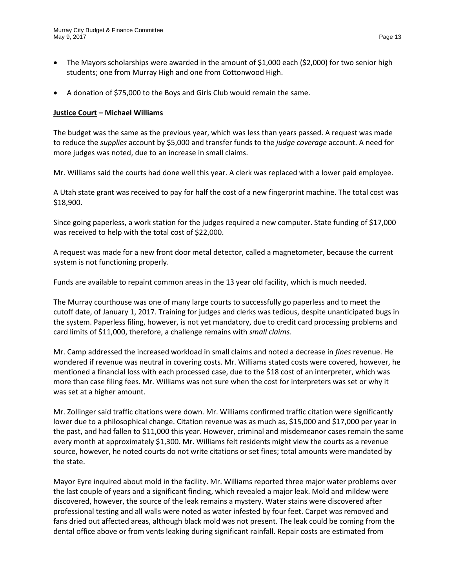- The Mayors scholarships were awarded in the amount of \$1,000 each (\$2,000) for two senior high students; one from Murray High and one from Cottonwood High.
- A donation of \$75,000 to the Boys and Girls Club would remain the same.

## **Justice Court – Michael Williams**

The budget was the same as the previous year, which was less than years passed. A request was made to reduce the *supplies* account by \$5,000 and transfer funds to the *judge coverage* account. A need for more judges was noted, due to an increase in small claims.

Mr. Williams said the courts had done well this year. A clerk was replaced with a lower paid employee.

A Utah state grant was received to pay for half the cost of a new fingerprint machine. The total cost was \$18,900.

Since going paperless, a work station for the judges required a new computer. State funding of \$17,000 was received to help with the total cost of \$22,000.

A request was made for a new front door metal detector, called a magnetometer, because the current system is not functioning properly.

Funds are available to repaint common areas in the 13 year old facility, which is much needed.

The Murray courthouse was one of many large courts to successfully go paperless and to meet the cutoff date, of January 1, 2017. Training for judges and clerks was tedious, despite unanticipated bugs in the system. Paperless filing, however, is not yet mandatory, due to credit card processing problems and card limits of \$11,000, therefore, a challenge remains with *small claims*.

Mr. Camp addressed the increased workload in small claims and noted a decrease in *fines* revenue. He wondered if revenue was neutral in covering costs. Mr. Williams stated costs were covered, however, he mentioned a financial loss with each processed case, due to the \$18 cost of an interpreter, which was more than case filing fees. Mr. Williams was not sure when the cost for interpreters was set or why it was set at a higher amount.

Mr. Zollinger said traffic citations were down. Mr. Williams confirmed traffic citation were significantly lower due to a philosophical change. Citation revenue was as much as, \$15,000 and \$17,000 per year in the past, and had fallen to \$11,000 this year. However, criminal and misdemeanor cases remain the same every month at approximately \$1,300. Mr. Williams felt residents might view the courts as a revenue source, however, he noted courts do not write citations or set fines; total amounts were mandated by the state.

Mayor Eyre inquired about mold in the facility. Mr. Williams reported three major water problems over the last couple of years and a significant finding, which revealed a major leak. Mold and mildew were discovered, however, the source of the leak remains a mystery. Water stains were discovered after professional testing and all walls were noted as water infested by four feet. Carpet was removed and fans dried out affected areas, although black mold was not present. The leak could be coming from the dental office above or from vents leaking during significant rainfall. Repair costs are estimated from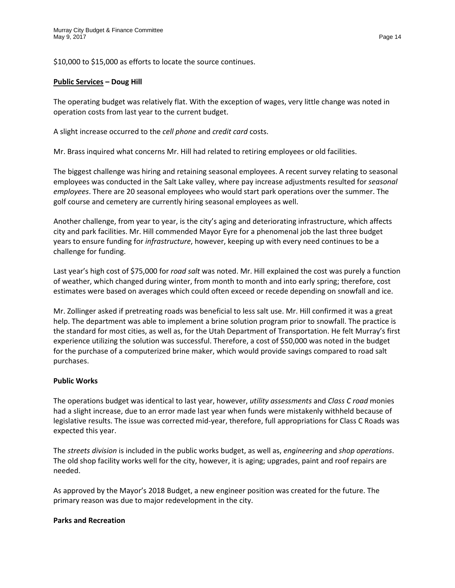\$10,000 to \$15,000 as efforts to locate the source continues.

### **Public Services – Doug Hill**

The operating budget was relatively flat. With the exception of wages, very little change was noted in operation costs from last year to the current budget.

A slight increase occurred to the *cell phone* and *credit card* costs.

Mr. Brass inquired what concerns Mr. Hill had related to retiring employees or old facilities.

The biggest challenge was hiring and retaining seasonal employees. A recent survey relating to seasonal employees was conducted in the Salt Lake valley, where pay increase adjustments resulted for *seasonal employees*. There are 20 seasonal employees who would start park operations over the summer. The golf course and cemetery are currently hiring seasonal employees as well.

Another challenge, from year to year, is the city's aging and deteriorating infrastructure, which affects city and park facilities. Mr. Hill commended Mayor Eyre for a phenomenal job the last three budget years to ensure funding for *infrastructure*, however, keeping up with every need continues to be a challenge for funding.

Last year's high cost of \$75,000 for *road salt* was noted. Mr. Hill explained the cost was purely a function of weather, which changed during winter, from month to month and into early spring; therefore, cost estimates were based on averages which could often exceed or recede depending on snowfall and ice.

Mr. Zollinger asked if pretreating roads was beneficial to less salt use. Mr. Hill confirmed it was a great help. The department was able to implement a brine solution program prior to snowfall. The practice is the standard for most cities, as well as, for the Utah Department of Transportation. He felt Murray's first experience utilizing the solution was successful. Therefore, a cost of \$50,000 was noted in the budget for the purchase of a computerized brine maker, which would provide savings compared to road salt purchases.

### **Public Works**

The operations budget was identical to last year, however, *utility assessments* and *Class C road* monies had a slight increase, due to an error made last year when funds were mistakenly withheld because of legislative results. The issue was corrected mid-year, therefore, full appropriations for Class C Roads was expected this year.

The *streets division* is included in the public works budget, as well as, *engineering* and *shop operations*. The old shop facility works well for the city, however, it is aging; upgrades, paint and roof repairs are needed.

As approved by the Mayor's 2018 Budget, a new engineer position was created for the future. The primary reason was due to major redevelopment in the city.

### **Parks and Recreation**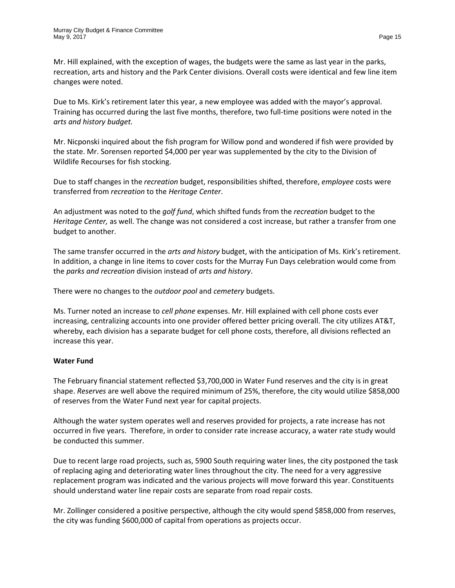Mr. Hill explained, with the exception of wages, the budgets were the same as last year in the parks, recreation, arts and history and the Park Center divisions. Overall costs were identical and few line item changes were noted.

Due to Ms. Kirk's retirement later this year, a new employee was added with the mayor's approval. Training has occurred during the last five months, therefore, two full-time positions were noted in the *arts and history budget.* 

Mr. Nicponski inquired about the fish program for Willow pond and wondered if fish were provided by the state. Mr. Sorensen reported \$4,000 per year was supplemented by the city to the Division of Wildlife Recourses for fish stocking.

Due to staff changes in the *recreation* budget, responsibilities shifted, therefore, *employee* costs were transferred from *recreation* to the *Heritage Center*.

An adjustment was noted to the *golf fund*, which shifted funds from the *recreation* budget to the *Heritage Center,* as well. The change was not considered a cost increase, but rather a transfer from one budget to another.

The same transfer occurred in the *arts and history* budget, with the anticipation of Ms. Kirk's retirement. In addition, a change in line items to cover costs for the Murray Fun Days celebration would come from the *parks and recreation* division instead of *arts and history*.

There were no changes to the *outdoor pool* and *cemetery* budgets.

Ms. Turner noted an increase to *cell phone* expenses. Mr. Hill explained with cell phone costs ever increasing, centralizing accounts into one provider offered better pricing overall. The city utilizes AT&T, whereby, each division has a separate budget for cell phone costs, therefore, all divisions reflected an increase this year.

# **Water Fund**

The February financial statement reflected \$3,700,000 in Water Fund reserves and the city is in great shape. *Reserves* are well above the required minimum of 25%, therefore, the city would utilize \$858,000 of reserves from the Water Fund next year for capital projects.

Although the water system operates well and reserves provided for projects, a rate increase has not occurred in five years. Therefore, in order to consider rate increase accuracy, a water rate study would be conducted this summer.

Due to recent large road projects, such as, 5900 South requiring water lines, the city postponed the task of replacing aging and deteriorating water lines throughout the city. The need for a very aggressive replacement program was indicated and the various projects will move forward this year. Constituents should understand water line repair costs are separate from road repair costs.

Mr. Zollinger considered a positive perspective, although the city would spend \$858,000 from reserves, the city was funding \$600,000 of capital from operations as projects occur.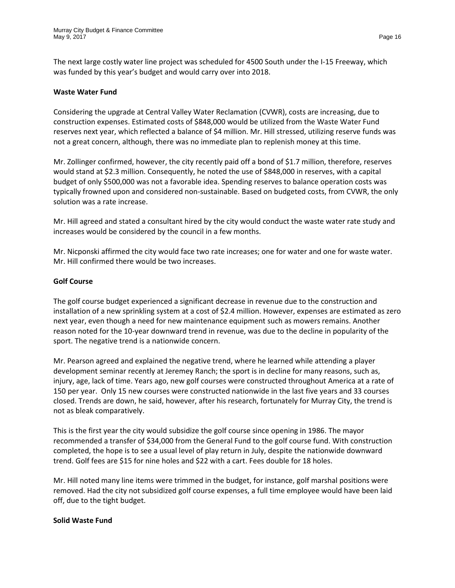The next large costly water line project was scheduled for 4500 South under the I-15 Freeway, which was funded by this year's budget and would carry over into 2018.

#### **Waste Water Fund**

Considering the upgrade at Central Valley Water Reclamation (CVWR), costs are increasing, due to construction expenses. Estimated costs of \$848,000 would be utilized from the Waste Water Fund reserves next year, which reflected a balance of \$4 million. Mr. Hill stressed, utilizing reserve funds was not a great concern, although, there was no immediate plan to replenish money at this time.

Mr. Zollinger confirmed, however, the city recently paid off a bond of \$1.7 million, therefore, reserves would stand at \$2.3 million. Consequently, he noted the use of \$848,000 in reserves, with a capital budget of only \$500,000 was not a favorable idea. Spending reserves to balance operation costs was typically frowned upon and considered non-sustainable. Based on budgeted costs, from CVWR, the only solution was a rate increase.

Mr. Hill agreed and stated a consultant hired by the city would conduct the waste water rate study and increases would be considered by the council in a few months.

Mr. Nicponski affirmed the city would face two rate increases; one for water and one for waste water. Mr. Hill confirmed there would be two increases.

#### **Golf Course**

The golf course budget experienced a significant decrease in revenue due to the construction and installation of a new sprinkling system at a cost of \$2.4 million. However, expenses are estimated as zero next year, even though a need for new maintenance equipment such as mowers remains. Another reason noted for the 10-year downward trend in revenue, was due to the decline in popularity of the sport. The negative trend is a nationwide concern.

Mr. Pearson agreed and explained the negative trend, where he learned while attending a player development seminar recently at Jeremey Ranch; the sport is in decline for many reasons, such as, injury, age, lack of time. Years ago, new golf courses were constructed throughout America at a rate of 150 per year. Only 15 new courses were constructed nationwide in the last five years and 33 courses closed. Trends are down, he said, however, after his research, fortunately for Murray City, the trend is not as bleak comparatively.

This is the first year the city would subsidize the golf course since opening in 1986. The mayor recommended a transfer of \$34,000 from the General Fund to the golf course fund. With construction completed, the hope is to see a usual level of play return in July, despite the nationwide downward trend. Golf fees are \$15 for nine holes and \$22 with a cart. Fees double for 18 holes.

Mr. Hill noted many line items were trimmed in the budget, for instance, golf marshal positions were removed. Had the city not subsidized golf course expenses, a full time employee would have been laid off, due to the tight budget.

### **Solid Waste Fund**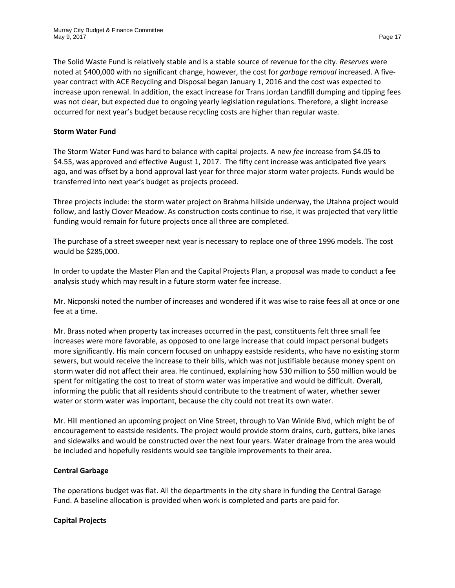The Solid Waste Fund is relatively stable and is a stable source of revenue for the city. *Reserves* were noted at \$400,000 with no significant change, however, the cost for *garbage removal* increased. A fiveyear contract with ACE Recycling and Disposal began January 1, 2016 and the cost was expected to increase upon renewal. In addition, the exact increase for Trans Jordan Landfill dumping and tipping fees was not clear, but expected due to ongoing yearly legislation regulations. Therefore, a slight increase occurred for next year's budget because recycling costs are higher than regular waste.

### **Storm Water Fund**

The Storm Water Fund was hard to balance with capital projects. A new *fee* increase from \$4.05 to \$4.55, was approved and effective August 1, 2017. The fifty cent increase was anticipated five years ago, and was offset by a bond approval last year for three major storm water projects. Funds would be transferred into next year's budget as projects proceed.

Three projects include: the storm water project on Brahma hillside underway, the Utahna project would follow, and lastly Clover Meadow. As construction costs continue to rise, it was projected that very little funding would remain for future projects once all three are completed.

The purchase of a street sweeper next year is necessary to replace one of three 1996 models. The cost would be \$285,000.

In order to update the Master Plan and the Capital Projects Plan, a proposal was made to conduct a fee analysis study which may result in a future storm water fee increase.

Mr. Nicponski noted the number of increases and wondered if it was wise to raise fees all at once or one fee at a time.

Mr. Brass noted when property tax increases occurred in the past, constituents felt three small fee increases were more favorable, as opposed to one large increase that could impact personal budgets more significantly. His main concern focused on unhappy eastside residents, who have no existing storm sewers, but would receive the increase to their bills, which was not justifiable because money spent on storm water did not affect their area. He continued, explaining how \$30 million to \$50 million would be spent for mitigating the cost to treat of storm water was imperative and would be difficult. Overall, informing the public that all residents should contribute to the treatment of water, whether sewer water or storm water was important, because the city could not treat its own water.

Mr. Hill mentioned an upcoming project on Vine Street, through to Van Winkle Blvd, which might be of encouragement to eastside residents. The project would provide storm drains, curb, gutters, bike lanes and sidewalks and would be constructed over the next four years. Water drainage from the area would be included and hopefully residents would see tangible improvements to their area.

### **Central Garbage**

The operations budget was flat. All the departments in the city share in funding the Central Garage Fund. A baseline allocation is provided when work is completed and parts are paid for.

# **Capital Projects**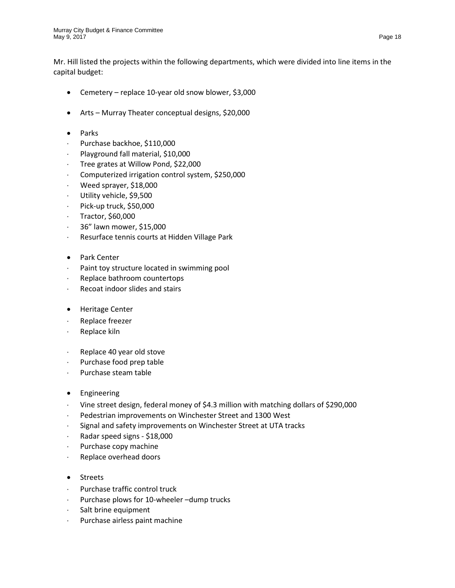Mr. Hill listed the projects within the following departments, which were divided into line items in the capital budget:

- Cemetery replace 10-year old snow blower, \$3,000
- Arts Murray Theater conceptual designs, \$20,000
- Parks
- ⋅ Purchase backhoe, \$110,000
- ⋅ Playground fall material, \$10,000
- Tree grates at Willow Pond, \$22,000
- ⋅ Computerized irrigation control system, \$250,000
- ⋅ Weed sprayer, \$18,000
- ⋅ Utility vehicle, \$9,500
- ⋅ Pick-up truck, \$50,000
- ⋅ Tractor, \$60,000
- ⋅ 36" lawn mower, \$15,000
- ⋅ Resurface tennis courts at Hidden Village Park
- Park Center
- ⋅ Paint toy structure located in swimming pool
- Replace bathroom countertops
- ⋅ Recoat indoor slides and stairs
- Heritage Center
- ⋅ Replace freezer
- ⋅ Replace kiln
- ⋅ Replace 40 year old stove
- ⋅ Purchase food prep table
- ⋅ Purchase steam table
- Engineering
- ⋅ Vine street design, federal money of \$4.3 million with matching dollars of \$290,000
- Pedestrian improvements on Winchester Street and 1300 West
- ⋅ Signal and safety improvements on Winchester Street at UTA tracks
- ⋅ Radar speed signs \$18,000
- Purchase copy machine
- ⋅ Replace overhead doors
- Streets
- ⋅ Purchase traffic control truck
- ⋅ Purchase plows for 10-wheeler –dump trucks
- ⋅ Salt brine equipment
- ⋅ Purchase airless paint machine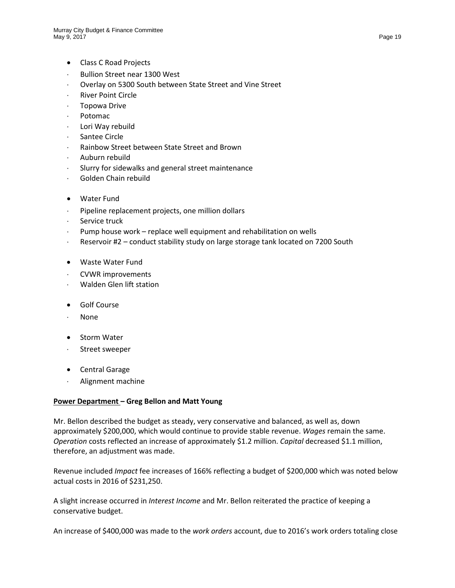- Class C Road Projects
- Bullion Street near 1300 West
- Overlay on 5300 South between State Street and Vine Street
- ⋅ River Point Circle
- ⋅ Topowa Drive
- ⋅ Potomac
- ⋅ Lori Way rebuild
- ⋅ Santee Circle
- ⋅ Rainbow Street between State Street and Brown
- ⋅ Auburn rebuild
- Slurry for sidewalks and general street maintenance
- ⋅ Golden Chain rebuild
- Water Fund
- ⋅ Pipeline replacement projects, one million dollars
- ⋅ Service truck
- ⋅ Pump house work replace well equipment and rehabilitation on wells
- Reservoir #2 conduct stability study on large storage tank located on 7200 South
- Waste Water Fund
- ⋅ CVWR improvements
- ⋅ Walden Glen lift station
- Golf Course
- ⋅ None
- Storm Water
- ⋅ Street sweeper
- Central Garage
- ⋅ Alignment machine

### **Power Department – Greg Bellon and Matt Young**

Mr. Bellon described the budget as steady, very conservative and balanced, as well as, down approximately \$200,000, which would continue to provide stable revenue. *Wages* remain the same. *Operation* costs reflected an increase of approximately \$1.2 million. *Capital* decreased \$1.1 million, therefore, an adjustment was made.

Revenue included *Impact* fee increases of 166% reflecting a budget of \$200,000 which was noted below actual costs in 2016 of \$231,250.

A slight increase occurred in *Interest Income* and Mr. Bellon reiterated the practice of keeping a conservative budget.

An increase of \$400,000 was made to the *work orders* account, due to 2016's work orders totaling close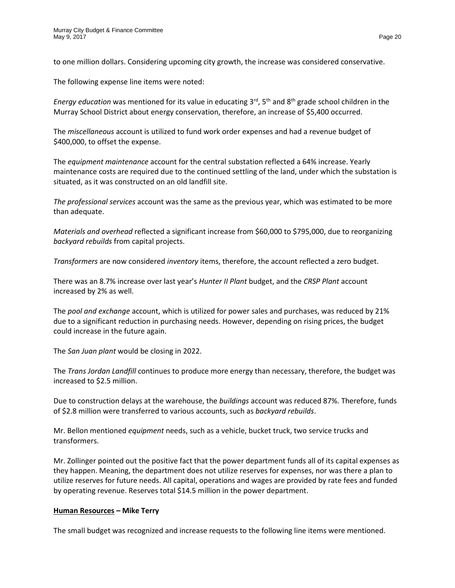to one million dollars. Considering upcoming city growth, the increase was considered conservative.

The following expense line items were noted:

*Energy education* was mentioned for its value in educating 3<sup>rd</sup>, 5<sup>th</sup> and 8<sup>th</sup> grade school children in the Murray School District about energy conservation, therefore, an increase of \$5,400 occurred.

The *miscellaneous* account is utilized to fund work order expenses and had a revenue budget of \$400,000, to offset the expense.

The *equipment maintenance* account for the central substation reflected a 64% increase. Yearly maintenance costs are required due to the continued settling of the land, under which the substation is situated, as it was constructed on an old landfill site.

*The professional services* account was the same as the previous year, which was estimated to be more than adequate.

*Materials and overhead* reflected a significant increase from \$60,000 to \$795,000, due to reorganizing *backyard rebuilds* from capital projects.

*Transformers* are now considered *inventory* items, therefore, the account reflected a zero budget.

There was an 8.7% increase over last year's *Hunter II Plant* budget, and the *CRSP Plant* account increased by 2% as well.

The *pool and exchange* account, which is utilized for power sales and purchases, was reduced by 21% due to a significant reduction in purchasing needs. However, depending on rising prices, the budget could increase in the future again.

The *San Juan plant* would be closing in 2022.

The *Trans Jordan Landfill* continues to produce more energy than necessary, therefore, the budget was increased to \$2.5 million.

Due to construction delays at the warehouse, the *buildings* account was reduced 87%. Therefore, funds of \$2.8 million were transferred to various accounts, such as *backyard rebuilds*.

Mr. Bellon mentioned *equipment* needs, such as a vehicle, bucket truck, two service trucks and transformers.

Mr. Zollinger pointed out the positive fact that the power department funds all of its capital expenses as they happen. Meaning, the department does not utilize reserves for expenses, nor was there a plan to utilize reserves for future needs. All capital, operations and wages are provided by rate fees and funded by operating revenue. Reserves total \$14.5 million in the power department.

### **Human Resources – Mike Terry**

The small budget was recognized and increase requests to the following line items were mentioned.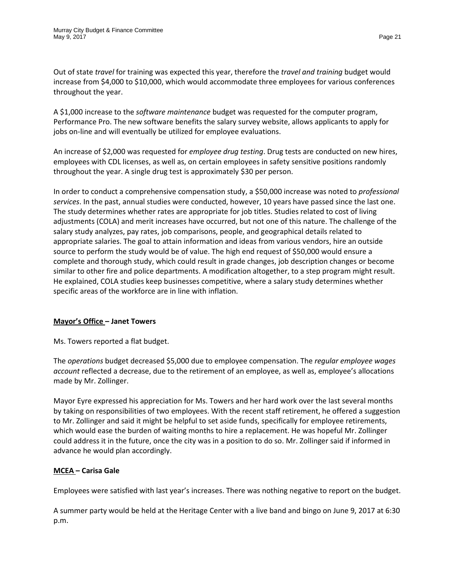Out of state *travel* for training was expected this year, therefore the *travel and training* budget would increase from \$4,000 to \$10,000, which would accommodate three employees for various conferences throughout the year.

A \$1,000 increase to the *software maintenance* budget was requested for the computer program, Performance Pro. The new software benefits the salary survey website, allows applicants to apply for jobs on-line and will eventually be utilized for employee evaluations.

An increase of \$2,000 was requested for *employee drug testing*. Drug tests are conducted on new hires, employees with CDL licenses, as well as, on certain employees in safety sensitive positions randomly throughout the year. A single drug test is approximately \$30 per person.

In order to conduct a comprehensive compensation study, a \$50,000 increase was noted to *professional services*. In the past, annual studies were conducted, however, 10 years have passed since the last one. The study determines whether rates are appropriate for job titles. Studies related to cost of living adjustments (COLA) and merit increases have occurred, but not one of this nature. The challenge of the salary study analyzes, pay rates, job comparisons, people, and geographical details related to appropriate salaries. The goal to attain information and ideas from various vendors, hire an outside source to perform the study would be of value. The high end request of \$50,000 would ensure a complete and thorough study, which could result in grade changes, job description changes or become similar to other fire and police departments. A modification altogether, to a step program might result. He explained, COLA studies keep businesses competitive, where a salary study determines whether specific areas of the workforce are in line with inflation.

# **Mayor's Office – Janet Towers**

Ms. Towers reported a flat budget.

The *operations* budget decreased \$5,000 due to employee compensation. The *regular employee wages account* reflected a decrease, due to the retirement of an employee, as well as, employee's allocations made by Mr. Zollinger.

Mayor Eyre expressed his appreciation for Ms. Towers and her hard work over the last several months by taking on responsibilities of two employees. With the recent staff retirement, he offered a suggestion to Mr. Zollinger and said it might be helpful to set aside funds, specifically for employee retirements, which would ease the burden of waiting months to hire a replacement. He was hopeful Mr. Zollinger could address it in the future, once the city was in a position to do so. Mr. Zollinger said if informed in advance he would plan accordingly.

# **MCEA – Carisa Gale**

Employees were satisfied with last year's increases. There was nothing negative to report on the budget.

A summer party would be held at the Heritage Center with a live band and bingo on June 9, 2017 at 6:30 p.m.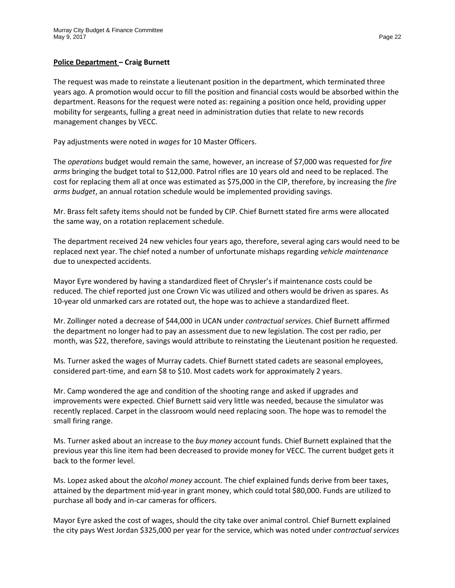#### **Police Department – Craig Burnett**

The request was made to reinstate a lieutenant position in the department, which terminated three years ago. A promotion would occur to fill the position and financial costs would be absorbed within the department. Reasons for the request were noted as: regaining a position once held, providing upper mobility for sergeants, fulling a great need in administration duties that relate to new records management changes by VECC.

Pay adjustments were noted in *wages* for 10 Master Officers.

The *operations* budget would remain the same, however, an increase of \$7,000 was requested for *fire arms* bringing the budget total to \$12,000. Patrol rifles are 10 years old and need to be replaced. The cost for replacing them all at once was estimated as \$75,000 in the CIP, therefore, by increasing the *fire arms budget*, an annual rotation schedule would be implemented providing savings.

Mr. Brass felt safety items should not be funded by CIP. Chief Burnett stated fire arms were allocated the same way, on a rotation replacement schedule.

The department received 24 new vehicles four years ago, therefore, several aging cars would need to be replaced next year. The chief noted a number of unfortunate mishaps regarding *vehicle maintenance* due to unexpected accidents.

Mayor Eyre wondered by having a standardized fleet of Chrysler's if maintenance costs could be reduced. The chief reported just one Crown Vic was utilized and others would be driven as spares. As 10-year old unmarked cars are rotated out, the hope was to achieve a standardized fleet.

Mr. Zollinger noted a decrease of \$44,000 in UCAN under *contractual services*. Chief Burnett affirmed the department no longer had to pay an assessment due to new legislation. The cost per radio, per month, was \$22, therefore, savings would attribute to reinstating the Lieutenant position he requested.

Ms. Turner asked the wages of Murray cadets. Chief Burnett stated cadets are seasonal employees, considered part-time, and earn \$8 to \$10. Most cadets work for approximately 2 years.

Mr. Camp wondered the age and condition of the shooting range and asked if upgrades and improvements were expected. Chief Burnett said very little was needed, because the simulator was recently replaced. Carpet in the classroom would need replacing soon. The hope was to remodel the small firing range.

Ms. Turner asked about an increase to the *buy money* account funds. Chief Burnett explained that the previous year this line item had been decreased to provide money for VECC. The current budget gets it back to the former level.

Ms. Lopez asked about the *alcohol money* account. The chief explained funds derive from beer taxes, attained by the department mid-year in grant money, which could total \$80,000. Funds are utilized to purchase all body and in-car cameras for officers.

Mayor Eyre asked the cost of wages, should the city take over animal control. Chief Burnett explained the city pays West Jordan \$325,000 per year for the service, which was noted under *contractual services*